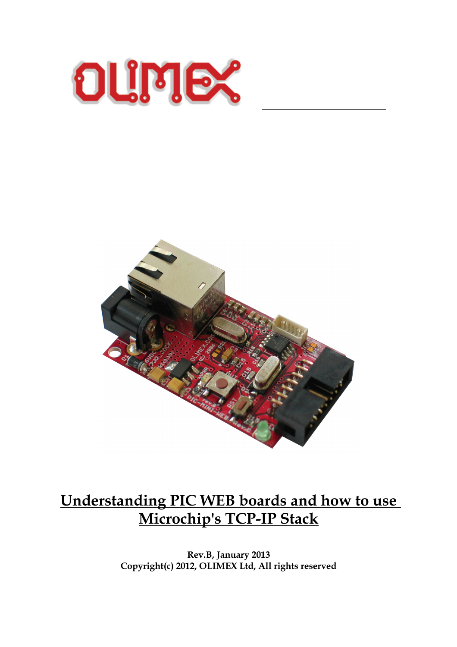



 $\overline{a}$ 

# **Understanding PIC WEB boards and how to use Microchip's TCP-IP Stack**

**Rev.B, January 2013 Copyright(c) 2012, OLIMEX Ltd, All rights reserved**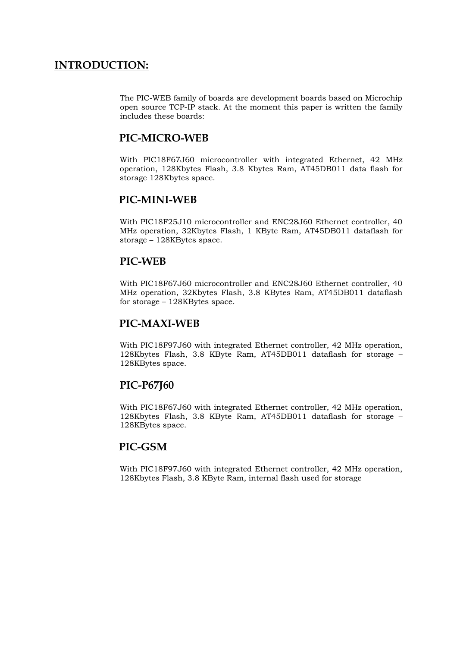# **INTRODUCTION:**

The PIC-WEB family of boards are development boards based on Microchip open source TCP-IP stack. At the moment this paper is written the family includes these boards:

#### **PIC-MICRO-WEB**

With PIC18F67J60 microcontroller with integrated Ethernet, 42 MHz operation, 128Kbytes Flash, 3.8 Kbytes Ram, AT45DB011 data flash for storage 128Kbytes space.

## **PIC-MINI-WEB**

With PIC18F25J10 microcontroller and ENC28J60 Ethernet controller, 40 MHz operation, 32Kbytes Flash, 1 KByte Ram, AT45DB011 dataflash for storage – 128KBytes space.

#### **PIC-WEB**

With PIC18F67J60 microcontroller and ENC28J60 Ethernet controller, 40 MHz operation, 32Kbytes Flash, 3.8 KBytes Ram, AT45DB011 dataflash for storage – 128KBytes space.

#### **PIC-MAXI-WEB**

With PIC18F97J60 with integrated Ethernet controller, 42 MHz operation, 128Kbytes Flash, 3.8 KByte Ram, AT45DB011 dataflash for storage – 128KBytes space.

#### **PIC-P67J60**

With PIC18F67J60 with integrated Ethernet controller, 42 MHz operation, 128Kbytes Flash, 3.8 KByte Ram, AT45DB011 dataflash for storage – 128KBytes space.

#### **PIC-GSM**

With PIC18F97J60 with integrated Ethernet controller, 42 MHz operation, 128Kbytes Flash, 3.8 KByte Ram, internal flash used for storage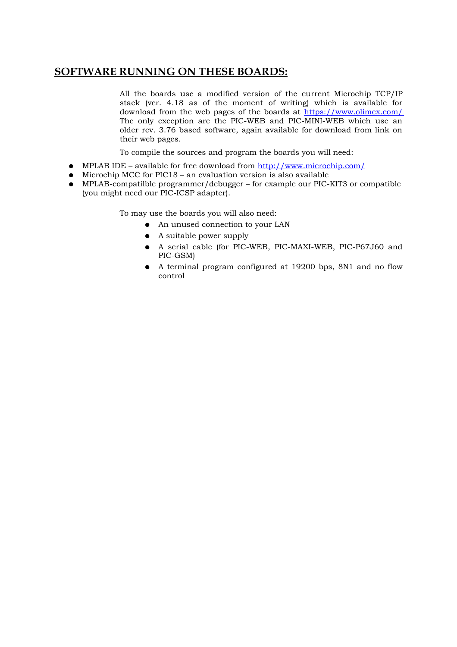# **SOFTWARE RUNNING ON THESE BOARDS:**

All the boards use a modified version of the current Microchip TCP/IP stack (ver. 4.18 as of the moment of writing) which is available for download from the web pages of the boards at<https://www.olimex.com/> The only exception are the PIC-WEB and PIC-MINI-WEB which use an older rev. 3.76 based software, again available for download from link on their web pages.

To compile the sources and program the boards you will need:

- MPLAB IDE available for free download from<http://www.microchip.com/>
- $\bullet$  Microchip MCC for PIC18 an evaluation version is also available
- MPLAB-compatilble programmer/debugger for example our PIC-KIT3 or compatible (you might need our PIC-ICSP adapter).

To may use the boards you will also need:

- An unused connection to your LAN
- A suitable power supply
- A serial cable (for PIC-WEB, PIC-MAXI-WEB, PIC-P67J60 and PIC-GSM)
- A terminal program configured at 19200 bps, 8N1 and no flow control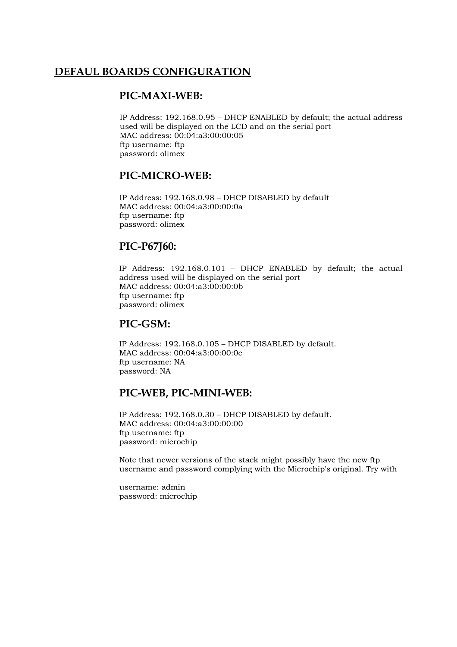# **DEFAUL BOARDS CONFIGURATION**

#### **PIC-MAXI-WEB:**

IP Address: 192.168.0.95 – DHCP ENABLED by default; the actual address used will be displayed on the LCD and on the serial port MAC address: 00:04:a3:00:00:05 ftp username: ftp password: olimex

#### **PIC-MICRO-WEB:**

IP Address: 192.168.0.98 – DHCP DISABLED by default MAC address: 00:04:a3:00:00:0a ftp username: ftp password: olimex

#### **PIC-P67J60:**

IP Address: 192.168.0.101 – DHCP ENABLED by default; the actual address used will be displayed on the serial port MAC address: 00:04:a3:00:00:0b ftp username: ftp password: olimex

#### **PIC-GSM:**

IP Address: 192.168.0.105 – DHCP DISABLED by default. MAC address: 00:04:a3:00:00:0c ftp username: NA password: NA

## **PIC-WEB, PIC-MINI-WEB:**

IP Address: 192.168.0.30 – DHCP DISABLED by default. MAC address: 00:04:a3:00:00:00 ftp username: ftp password: microchip

Note that newer versions of the stack might possibly have the new ftp username and password complying with the Microchip's original. Try with

username: admin password: microchip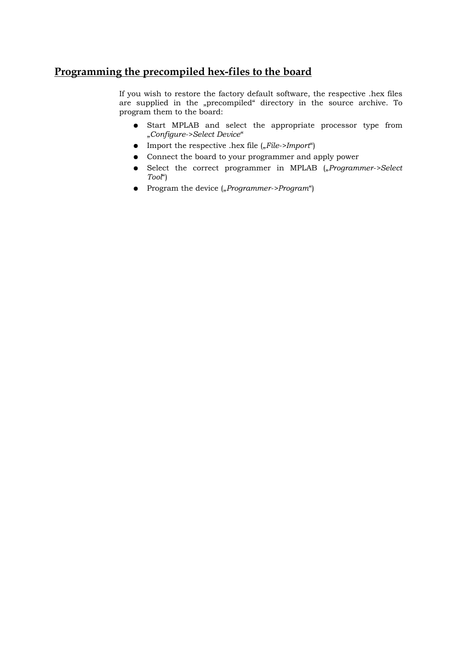# **Programming the precompiled hex-files to the board**

If you wish to restore the factory default software, the respective .hex files are supplied in the "precompiled" directory in the source archive. To program them to the board:

- Start MPLAB and select the appropriate processor type from "*Configure->Select Device*"
- Import the respective .hex file (*"File->Import*")
- Connect the board to your programmer and apply power
- $\bullet$  Select the correct programmer in MPLAB ("*Programmer->Select Tool*")
- Program the device ("*Programmer->Program*")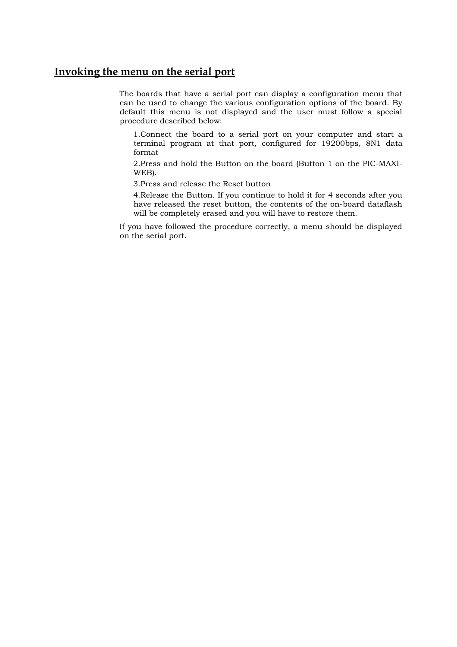#### **Invoking the menu on the serial port**

The boards that have a serial port can display a configuration menu that can be used to change the various configuration options of the board. By default this menu is not displayed and the user must follow a special procedure described below:

1.Connect the board to a serial port on your computer and start a terminal program at that port, configured for 19200bps, 8N1 data format

2.Press and hold the Button on the board (Button 1 on the PIC-MAXI-WEB).

3.Press and release the Reset button

4.Release the Button. If you continue to hold it for 4 seconds after you have released the reset button, the contents of the on-board dataflash will be completely erased and you will have to restore them.

If you have followed the procedure correctly, a menu should be displayed on the serial port.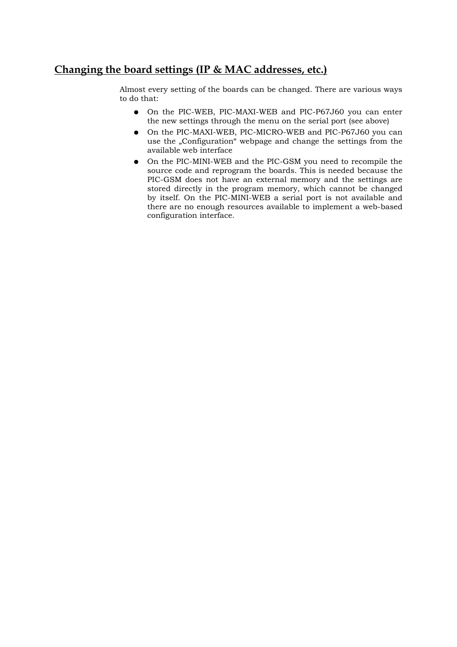# **Changing the board settings (IP & MAC addresses, etc.)**

Almost every setting of the boards can be changed. There are various ways to do that:

- On the PIC-WEB, PIC-MAXI-WEB and PIC-P67J60 you can enter the new settings through the menu on the serial port (see above)
- On the PIC-MAXI-WEB, PIC-MICRO-WEB and PIC-P67J60 you can use the "Configuration" webpage and change the settings from the available web interface
- On the PIC-MINI-WEB and the PIC-GSM you need to recompile the source code and reprogram the boards. This is needed because the PIC-GSM does not have an external memory and the settings are stored directly in the program memory, which cannot be changed by itself. On the PIC-MINI-WEB a serial port is not available and there are no enough resources available to implement a web-based configuration interface.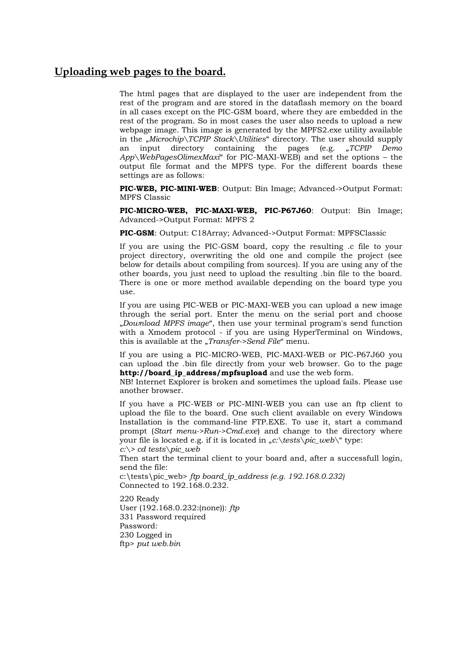#### **Uploading web pages to the board.**

The html pages that are displayed to the user are independent from the rest of the program and are stored in the dataflash memory on the board in all cases except on the PIC-GSM board, where they are embedded in the rest of the program. So in most cases the user also needs to upload a new webpage image. This image is generated by the MPFS2.exe utility available in the "*Microchip\TCPIP Stack\Utilities*" directory. The user should supply an input directory containing the pages (e.g. "*TCPIP Demo App\WebPagesOlimexMaxi*" for PIC-MAXI-WEB) and set the options – the output file format and the MPFS type. For the different boards these settings are as follows:

**PIC-WEB, PIC-MINI-WEB**: Output: Bin Image; Advanced->Output Format: MPFS Classic

**PIC-MICRO-WEB, PIC-MAXI-WEB, PIC-P67J60**: Output: Bin Image; Advanced->Output Format: MPFS 2

**PIC-GSM**: Output: C18Array; Advanced->Output Format: MPFSClassic

If you are using the PIC-GSM board, copy the resulting .c file to your project directory, overwriting the old one and compile the project (see below for details about compiling from sources). If you are using any of the other boards, you just need to upload the resulting .bin file to the board. There is one or more method available depending on the board type you use.

If you are using PIC-WEB or PIC-MAXI-WEB you can upload a new image through the serial port. Enter the menu on the serial port and choose "*Download MPFS image*", then use your terminal program's send function with a Xmodem protocol - if you are using HyperTerminal on Windows, this is available at the "*Transfer->Send File*" menu.

If you are using a PIC-MICRO-WEB, PIC-MAXI-WEB or PIC-P67J60 you can upload the .bin file directly from your web browser. Go to the page **http://board\_ip\_address/mpfsupload** and use the web form.

NB! Internet Explorer is broken and sometimes the upload fails. Please use another browser.

If you have a PIC-WEB or PIC-MINI-WEB you can use an ftp client to upload the file to the board. One such client available on every Windows Installation is the command-line FTP.EXE. To use it, start a command prompt (*Start menu->Run->Cmd.exe*) and change to the directory where your file is located e.g. if it is located in *"c:\tests\pic\_web*\" type: *c:\> cd tests\pic\_web*

Then start the terminal client to your board and, after a successfull login, send the file:

c:\tests\pic\_web> *ftp board\_ip\_address (e.g. 192.168.0.232)* Connected to 192.168.0.232.

220 Ready User (192.168.0.232:(none)): *ftp* 331 Password required Password: 230 Logged in ftp> *put web.bin*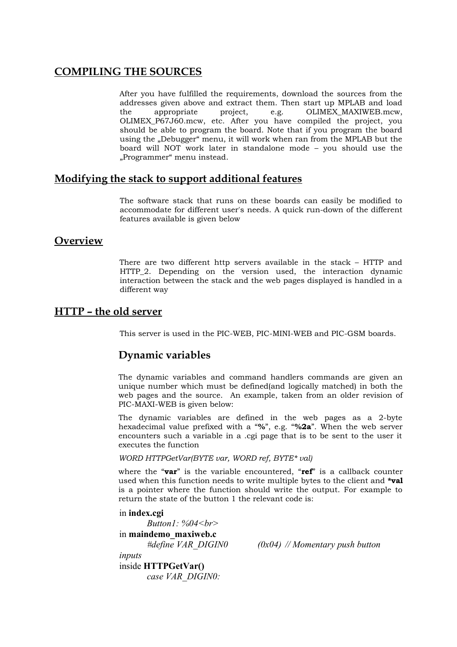# **COMPILING THE SOURCES**

After you have fulfilled the requirements, download the sources from the addresses given above and extract them. Then start up MPLAB and load the appropriate project, e.g. OLIMEX\_MAXIWEB.mcw, OLIMEX\_P67J60.mcw, etc. After you have compiled the project, you should be able to program the board. Note that if you program the board using the "Debugger" menu, it will work when ran from the MPLAB but the board will NOT work later in standalone mode – you should use the "Programmer" menu instead.

#### **Modifying the stack to support additional features**

The software stack that runs on these boards can easily be modified to accommodate for different user's needs. A quick run-down of the different features available is given below

#### **Overview**

There are two different http servers available in the stack – HTTP and HTTP\_2. Depending on the version used, the interaction dynamic interaction between the stack and the web pages displayed is handled in a different way

## **HTTP – the old server**

This server is used in the PIC-WEB, PIC-MINI-WEB and PIC-GSM boards.

# **Dynamic variables**

The dynamic variables and command handlers commands are given an unique number which must be defined(and logically matched) in both the web pages and the source. An example, taken from an older revision of PIC-MAXI-WEB is given below:

The dynamic variables are defined in the web pages as a 2-byte hexadecimal value prefixed with a "**%**", e.g. "**%2a**". When the web server encounters such a variable in a .cgi page that is to be sent to the user it executes the function

*WORD HTTPGetVar(BYTE var, WORD ref, BYTE\* val)*

where the "**var**" is the variable encountered, "**ref**" is a callback counter used when this function needs to write multiple bytes to the client and **\*val** is a pointer where the function should write the output. For example to return the state of the button 1 the relevant code is:

in **index.cgi**

*Button1: %04<br>* in **maindemo\_maxiweb.c**

*#define VAR\_DIGIN0 (0x04) // Momentary push button*

*inputs* inside **HTTPGetVar()** *case VAR\_DIGIN0:*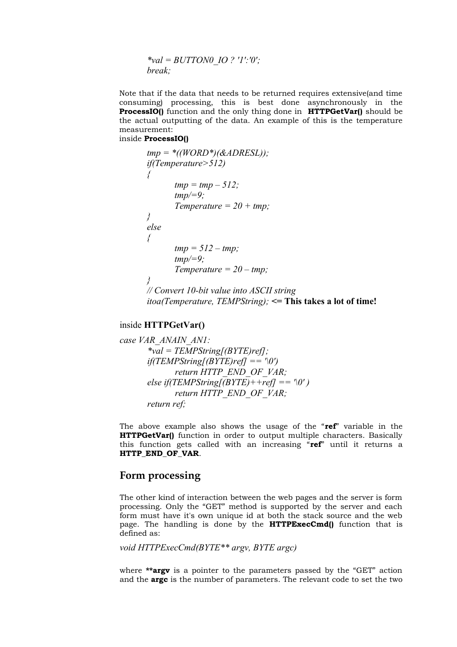*\*val = BUTTON0\_IO ? '1':'0'; break;*

Note that if the data that needs to be returned requires extensive(and time consuming) processing, this is best done asynchronously in the **ProcessIO()** function and the only thing done in **HTTPGetVar()** should be the actual outputting of the data. An example of this is the temperature measurement:

inside **ProcessIO()**

```
tmp = *((WORD*)(&ADRESL));
if(Temperature>512) 
{
       tmp = tmp – 512;
       tmp/=9;
       Temperature = 20 + tmp;
} 
else 
{
       tmp = 512 – tmp;
       tmp/=9;
       Temperature = 20 – tmp;
}
// Convert 10-bit value into ASCII string
itoa(Temperature, TEMPString); <= This takes a lot of time!
```
#### inside **HTTPGetVar()**

*case VAR\_ANAIN\_AN1: \*val = TEMPString[(BYTE)ref]; if(TEMPString[(BYTE)ref] == '\0') return HTTP\_END\_OF\_VAR;*  $else$  *if(TEMPString[(BYTE)++ref] == '\0'*) *return HTTP\_END\_OF\_VAR; return ref;*

The above example also shows the usage of the "**ref**" variable in the **HTTPGetVar()** function in order to output multiple characters. Basically this function gets called with an increasing "**ref**" until it returns a **HTTP\_END\_OF\_VAR**.

#### **Form processing**

The other kind of interaction between the web pages and the server is form processing. Only the "GET" method is supported by the server and each form must have it's own unique id at both the stack source and the web page. The handling is done by the **HTTPExecCmd()** function that is defined as:

*void HTTPExecCmd(BYTE\*\* argv, BYTE argc)*

where **\*\*argv** is a pointer to the parameters passed by the "GET" action and the **argc** is the number of parameters. The relevant code to set the two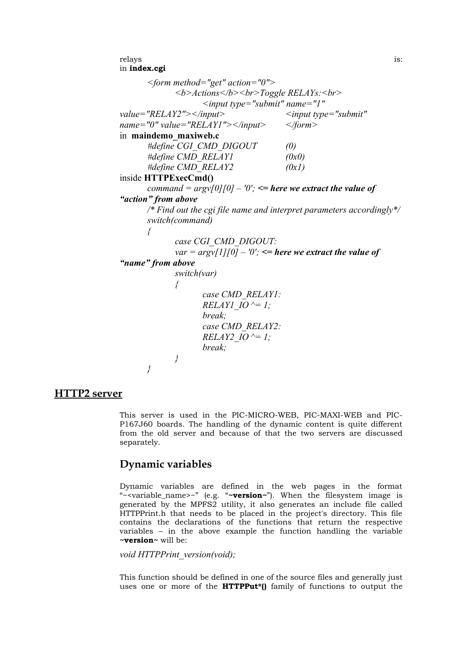```
relays is:
in index.cgi
      <form method="get" action="0">
           <b>Actions</b><br>Toggle RELAYs:<br>
                 <input type="submit" name="1"
value="RELAY2"></input> <input type="submit"
name="0" value="RELAY1"></input> </form>
in maindemo_maxiweb.c
      #define CGI_CMD_DIGOUT (0)
      #define CMD_RELAY1 (0x0)
      #define CMD_RELAY2 (0x1)
inside HTTPExecCmd()
     command = \frac{argv}{0}[0] \neq '0'; \leq here we extract the value of
"action" from above
     /* Find out the cgi file name and interpret parameters accordingly*/
     switch(command)
     {
           case CGI_CMD_DIGOUT:
           var = argv[1][0] - '0'; \leq here we extract the value of
"name" from above
           switch(var)
           {
                 case CMD_RELAY1:
                 RELAY1_IO ^= 1;
                 break;
                 case CMD_RELAY2:
                 RELAY2_IO ^= 1;
                 break;
          }
     }
```
#### **HTTP2 server**

This server is used in the PIC-MICRO-WEB, PIC-MAXI-WEB and PIC-P167J60 boards. The handling of the dynamic content is quite different from the old server and because of that the two servers are discussed separately.

#### **Dynamic variables**

Dynamic variables are defined in the web pages in the format "~<variable\_name>~" (e.g. "**~version~**"). When the filesystem image is generated by the MPFS2 utility, it also generates an include file called HTTPPrint.h that needs to be placed in the project's directory. This file contains the declarations of the functions that return the respective variables – in the above example the function handling the variable **~version~** will be:

*void HTTPPrint\_version(void);*

This function should be defined in one of the source files and generally just uses one or more of the **HTTPPut\*()** family of functions to output the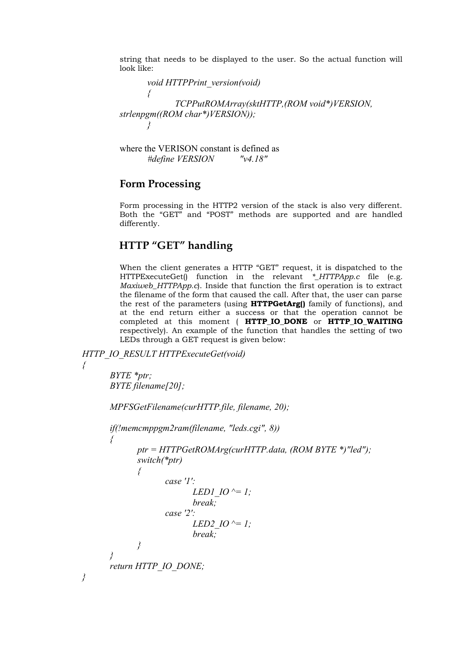string that needs to be displayed to the user. So the actual function will look like:

*void HTTPPrint\_version(void) { TCPPutROMArray(sktHTTP,(ROM void\*)VERSION, strlenpgm((ROM char\*)VERSION)); }*

where the VERISON constant is defined as *#define VERSION "v4.18"*

#### **Form Processing**

Form processing in the HTTP2 version of the stack is also very different. Both the "GET" and "POST" methods are supported and are handled differently.

# **HTTP "GET" handling**

When the client generates a HTTP "GET" request, it is dispatched to the HTTPExecuteGet() function in the relevant *\*\_HTTPApp.c* file (e.g. *Maxiweb\_HTTPApp.c*). Inside that function the first operation is to extract the filename of the form that caused the call. After that, the user can parse the rest of the parameters (using **HTTPGetArg()** family of functions), and at the end return either a success or that the operation cannot be completed at this moment ( **HTTP\_IO\_DONE** or **HTTP\_IO\_WAITING** respectively). An example of the function that handles the setting of two LEDs through a GET request is given below:

*HTTP\_IO\_RESULT HTTPExecuteGet(void)*

*BYTE \*ptr; BYTE filename[20];*

```
MPFSGetFilename(curHTTP.file, filename, 20);
if(!memcmppgm2ram(filename, "leds.cgi", 8))
{
       ptr = HTTPGetROMArg(curHTTP.data, (ROM BYTE *)"led");
       switch(*ptr) 
       {
              case '1':
                      LED1 IO ^{\wedge} = 1;
                      break;
               case '2':
                      LED2 IO ^{\wedge} = 1;
                      break;
       }
}
return HTTP_IO_DONE;
```
*{*

*}*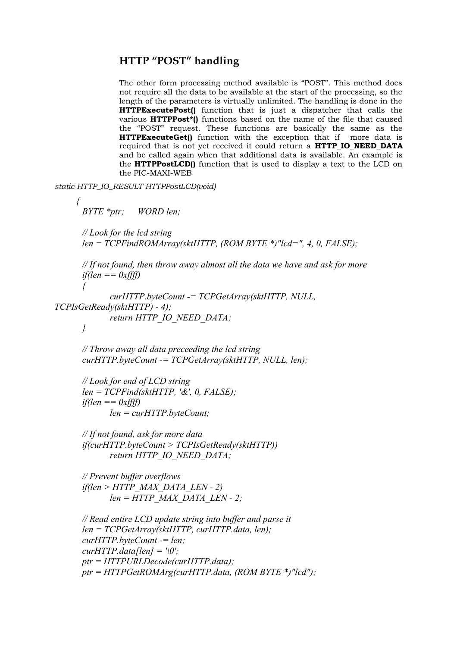# **HTTP "POST" handling**

The other form processing method available is "POST". This method does not require all the data to be available at the start of the processing, so the length of the parameters is virtually unlimited. The handling is done in the **HTTPExecutePost()** function that is just a dispatcher that calls the various **HTTPPost\*()** functions based on the name of the file that caused the "POST" request. These functions are basically the same as the **HTTPExecuteGet()** function with the exception that if more data is required that is not yet received it could return a **HTTP\_IO\_NEED\_DATA** and be called again when that additional data is available. An example is the **HTTPPostLCD()** function that is used to display a text to the LCD on the PIC-MAXI-WEB

*static HTTP\_IO\_RESULT HTTPPostLCD(void)*

```
{
```
*BYTE \*ptr; WORD len;*

*// Look for the lcd string len = TCPFindROMArray(sktHTTP, (ROM BYTE \*)"lcd=", 4, 0, FALSE);*

```
// If not found, then throw away almost all the data we have and ask for more
if(len == 0xffff)
```

```
{
            curHTTP.byteCount -= TCPGetArray(sktHTTP, NULL,
TCPIsGetReady(sktHTTP) - 4);
            return HTTP_IO_NEED_DATA;
```

```
}
```
*// Throw away all data preceeding the lcd string curHTTP.byteCount -= TCPGetArray(sktHTTP, NULL, len);*

```
// Look for end of LCD string
len = TCPFind(sktHTTP, '&', 0, FALSE);
if(len == 0xffff)
       len = curHTTP.byteCount;
```
*// If not found, ask for more data if(curHTTP.byteCount > TCPIsGetReady(sktHTTP)) return HTTP\_IO\_NEED\_DATA;*

*// Prevent buffer overflows if(len > HTTP\_MAX\_DATA\_LEN - 2) len = HTTP\_MAX\_DATA\_LEN - 2;*

```
// Read entire LCD update string into buffer and parse it
len = TCPGetArray(sktHTTP, curHTTP.data, len);
curHTTP.byteCount -= len;
curHTTP.data[len] = \langle 0':ptr = HTTPURLDecode(curHTTP.data);
ptr = HTTPGetROMArg(curHTTP.data, (ROM BYTE *)"lcd");
```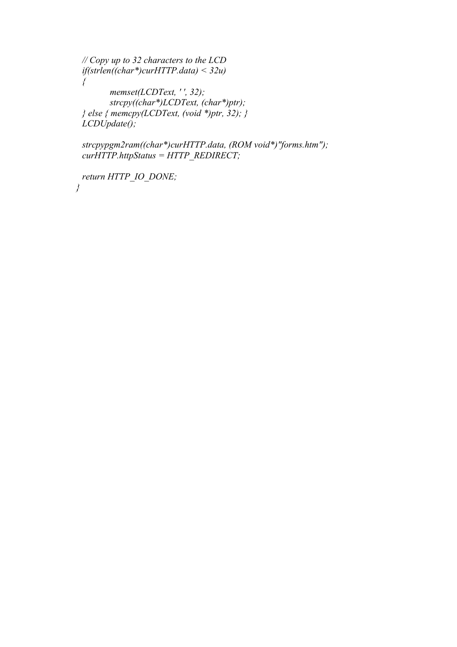*// Copy up to 32 characters to the LCD if(strlen((char\*)curHTTP.data) < 32u) { memset(LCDText, ' ', 32); strcpy((char\*)LCDText, (char\*)ptr); } else { memcpy(LCDText, (void \*)ptr, 32); } LCDUpdate();*

*strcpypgm2ram((char\*)curHTTP.data, (ROM void\*)"forms.htm"); curHTTP.httpStatus = HTTP\_REDIRECT;*

*return HTTP\_IO\_DONE; }*